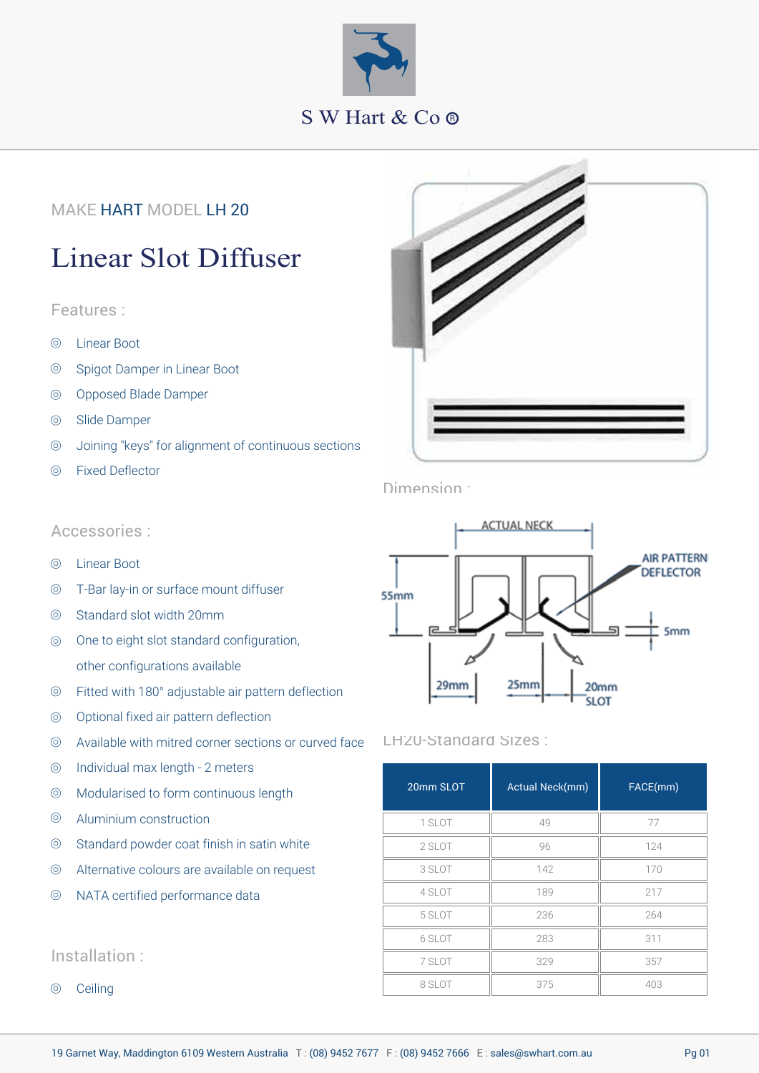

## MAKE HART MODEL LH 20

# Linear Slot Diffuser

#### Features :

- $\circledcirc$ Linear Boot
- $\circledcirc$ Spigot Damper in Linear Boot
- Opposed Blade Damper  $\circledcirc$
- Slide Damper  $\circledcirc$
- Joining "keys" for alignment of continuous sections  $\circledcirc$
- Fixed Deflector  $\circledcirc$



Dimension :

#### Accessories :

- $\circledcirc$ Linear Boot
- $\circledcirc$ T-Bar lay-in or surface mount diffuser
- Standard slot width 20mm  $\circledcirc$
- One to eight slot standard configuration,  $\circledcirc$ other configurations available
- $\circledcirc$ Fitted with 180° adjustable air pattern deflection
- Optional fixed air pattern deflection  $\circledcirc$
- Available with mitred corner sections or curved face  $\circledcirc$
- Individual max length 2 meters  $\circledcirc$
- Modularised to form continuous length  $\circledcirc$
- $\circledcirc$ Aluminium construction
- $\circledcirc$ Standard powder coat finish in satin white
- $\circledcirc$ Alternative colours are available on request
- NATA certified performance data  $\circledcirc$

#### Installation :

**Ceiling**  $\circledcirc$ 



#### LH20-Standard Sizes :

| 20mm SLOT | Actual Neck(mm) | FACE(mm) |
|-----------|-----------------|----------|
| 1 SLOT    | 49              | 77       |
| 2 SLOT    | 96              | 124      |
| 3 SLOT    | 142             | 170      |
| 4 SLOT    | 189             | 217      |
| 5 SLOT    | 236             | 264      |
| 6 SLOT    | 283             | 311      |
| 7 SLOT    | 329             | 357      |
| 8 SLOT    | 375             | 403      |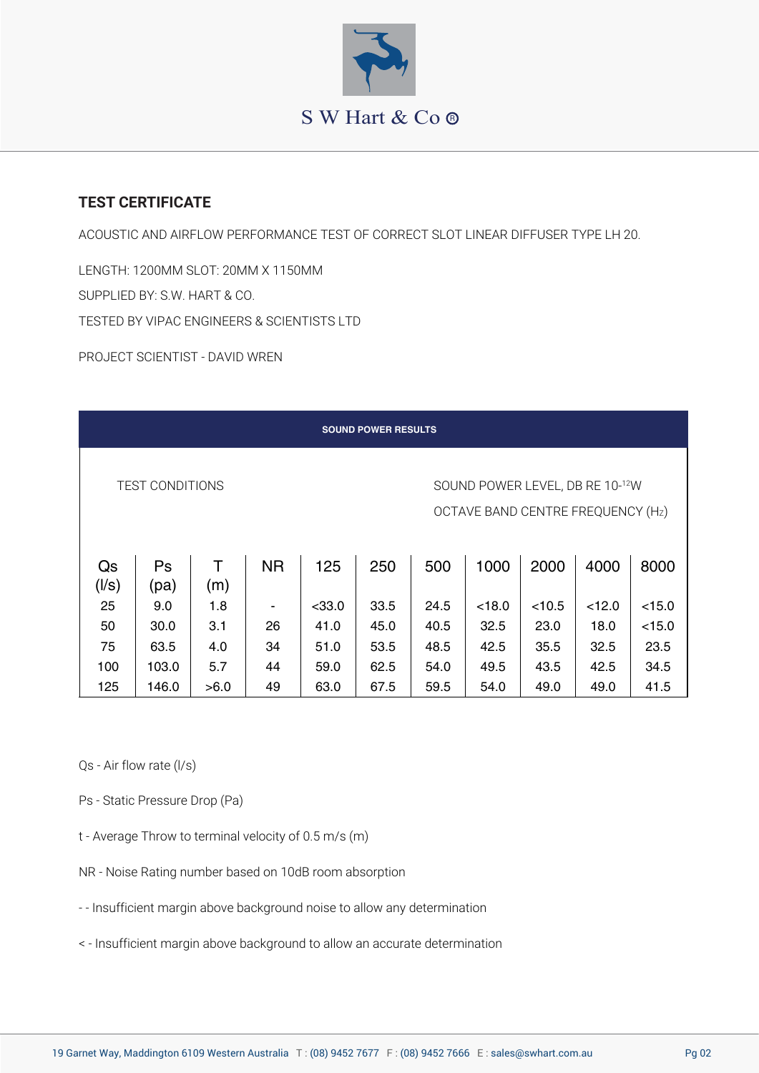

## **TEST CERTIFICATE**

ACOUSTIC AND AIRFLOW PERFORMANCE TEST OF CORRECT SLOT LINEAR DIFFUSER TYPE LH 20.

LENGTH: 1200MM SLOT: 20MM X 1150MM SUPPLIED BY: S.W. HART & CO. TESTED BY VIPAC ENGINEERS & SCIENTISTS LTD

PROJECT SCIENTIST - DAVID WREN

| <b>SOUND POWER RESULTS</b>                                                                     |            |          |           |          |      |      |        |        |        |        |  |
|------------------------------------------------------------------------------------------------|------------|----------|-----------|----------|------|------|--------|--------|--------|--------|--|
| <b>TEST CONDITIONS</b><br>SOUND POWER LEVEL, DB RE 10-12W<br>OCTAVE BAND CENTRE FREQUENCY (Hz) |            |          |           |          |      |      |        |        |        |        |  |
| Qs<br>(1/s)                                                                                    | Ps<br>(pa) | т<br>(m) | <b>NR</b> | 125      | 250  | 500  | 1000   | 2000   | 4000   | 8000   |  |
| 25                                                                                             | 9.0        | 1.8      |           | $<$ 33.0 | 33.5 | 24.5 | < 18.0 | < 10.5 | < 12.0 | < 15.0 |  |
| 50                                                                                             | 30.0       | 3.1      | 26        | 41.0     | 45.0 | 40.5 | 32.5   | 23.0   | 18.0   | < 15.0 |  |
| 75                                                                                             | 63.5       | 4.0      | 34        | 51.0     | 53.5 | 48.5 | 42.5   | 35.5   | 32.5   | 23.5   |  |
| 100                                                                                            | 103.0      | 5.7      | 44        | 59.0     | 62.5 | 54.0 | 49.5   | 43.5   | 42.5   | 34.5   |  |
| 125                                                                                            | 146.0      | >6.0     | 49        | 63.0     | 67.5 | 59.5 | 54.0   | 49.0   | 49.0   | 41.5   |  |

Qs - Air flow rate (l/s)

- Ps Static Pressure Drop (Pa)
- t Average Throw to terminal velocity of 0.5 m/s (m)
- NR Noise Rating number based on 10dB room absorption
- - Insufficient margin above background noise to allow any determination
- < Insufficient margin above background to allow an accurate determination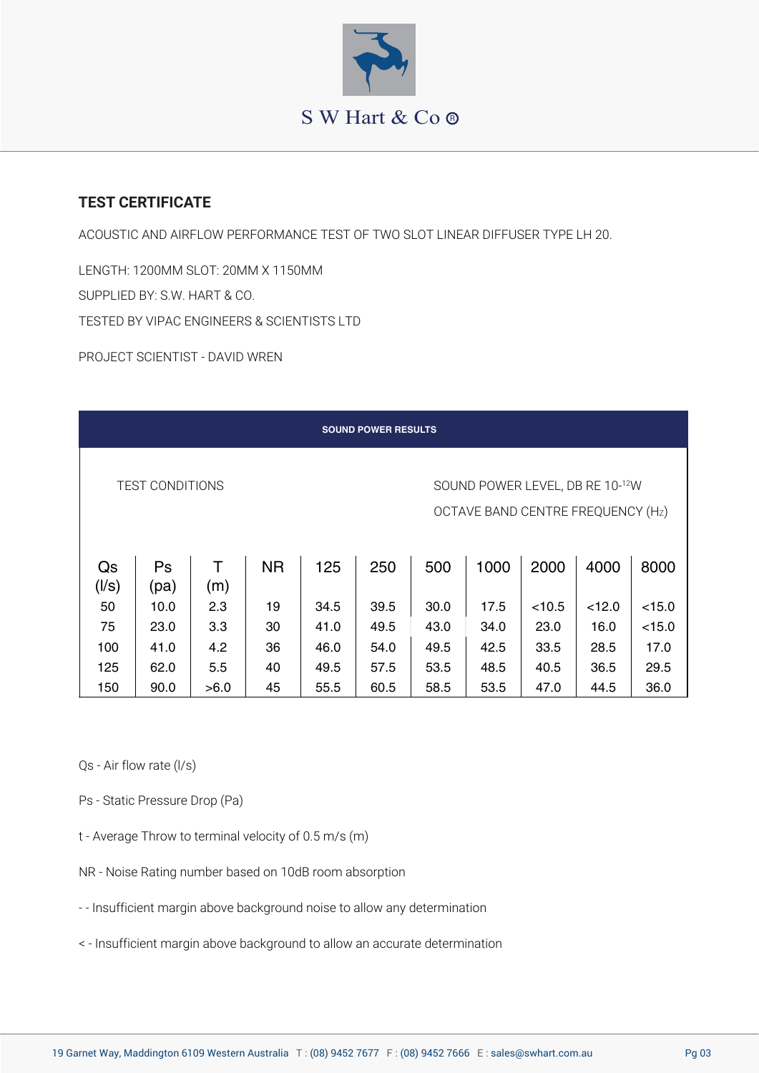

## **TEST CERTIFICATE**

ACOUSTIC AND AIRFLOW PERFORMANCE TEST OF TWO SLOT LINEAR DIFFUSER TYPE LH 20.

LENGTH: 1200MM SLOT: 20MM X 1150MM SUPPLIED BY: S.W. HART & CO. TESTED BY VIPAC ENGINEERS & SCIENTISTS LTD

PROJECT SCIENTIST - DAVID WREN

| <b>SOUND POWER RESULTS</b>                                                                     |      |      |           |      |      |      |      |        |        |        |  |
|------------------------------------------------------------------------------------------------|------|------|-----------|------|------|------|------|--------|--------|--------|--|
| <b>TEST CONDITIONS</b><br>SOUND POWER LEVEL, DB RE 10-12W<br>OCTAVE BAND CENTRE FREQUENCY (Hz) |      |      |           |      |      |      |      |        |        |        |  |
| Qs                                                                                             | Ps   | т    | <b>NR</b> | 125  | 250  | 500  | 1000 | 2000   | 4000   | 8000   |  |
| (1/s)                                                                                          | (pa) | (m)  |           |      |      |      |      |        |        |        |  |
| 50                                                                                             | 10.0 | 2.3  | 19        | 34.5 | 39.5 | 30.0 | 17.5 | < 10.5 | < 12.0 | < 15.0 |  |
| 75                                                                                             | 23.0 | 3.3  | 30        | 41.0 | 49.5 | 43.0 | 34.0 | 23.0   | 16.0   | < 15.0 |  |
| 100                                                                                            | 41.0 | 4.2  | 36        | 46.0 | 54.0 | 49.5 | 42.5 | 33.5   | 28.5   | 17.0   |  |
| 125                                                                                            | 62.0 | 5.5  | 40        | 49.5 | 57.5 | 53.5 | 48.5 | 40.5   | 36.5   | 29.5   |  |
| 150                                                                                            | 90.0 | >6.0 | 45        | 55.5 | 60.5 | 58.5 | 53.5 | 47.0   | 44.5   | 36.0   |  |

Qs - Air flow rate (l/s)

- Ps Static Pressure Drop (Pa)
- t Average Throw to terminal velocity of 0.5 m/s (m)
- NR Noise Rating number based on 10dB room absorption
- - Insufficient margin above background noise to allow any determination
- < Insufficient margin above background to allow an accurate determination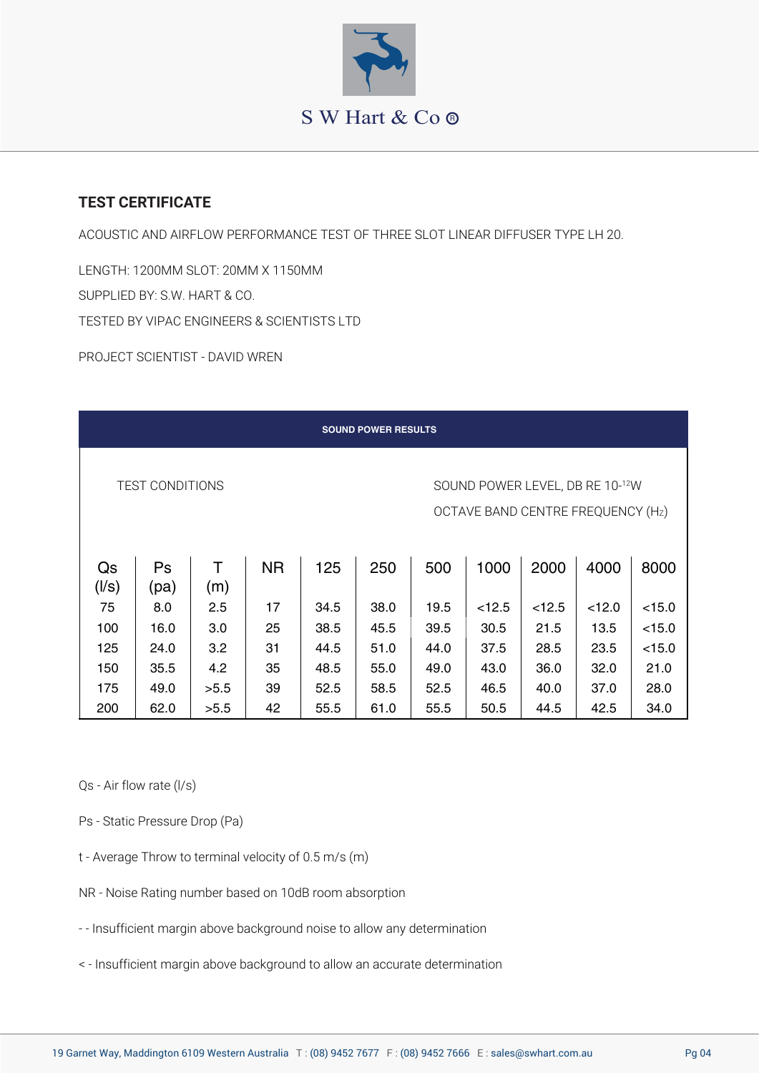

## **TEST CERTIFICATE**

ACOUSTIC AND AIRFLOW PERFORMANCE TEST OF THREE SLOT LINEAR DIFFUSER TYPE LH 20.

LENGTH: 1200MM SLOT: 20MM X 1150MM SUPPLIED BY: S.W. HART & CO. TESTED BY VIPAC ENGINEERS & SCIENTISTS LTD

PROJECT SCIENTIST - DAVID WREN

| <b>SOUND POWER RESULTS</b>                                                                     |            |          |           |      |      |      |        |        |        |        |  |
|------------------------------------------------------------------------------------------------|------------|----------|-----------|------|------|------|--------|--------|--------|--------|--|
| <b>TEST CONDITIONS</b><br>SOUND POWER LEVEL, DB RE 10-12W<br>OCTAVE BAND CENTRE FREQUENCY (Hz) |            |          |           |      |      |      |        |        |        |        |  |
| Qs<br>(1/s)                                                                                    | Ps<br>(pa) | т<br>(m) | <b>NR</b> | 125  | 250  | 500  | 1000   | 2000   | 4000   | 8000   |  |
| 75                                                                                             | 8.0        | 2.5      | 17        | 34.5 | 38.0 | 19.5 | < 12.5 | < 12.5 | < 12.0 | < 15.0 |  |
| 100                                                                                            | 16.0       | 3.0      | 25        | 38.5 | 45.5 | 39.5 | 30.5   | 21.5   | 13.5   | < 15.0 |  |
| 125                                                                                            | 24.0       | 3.2      | 31        | 44.5 | 51.0 | 44.0 | 37.5   | 28.5   | 23.5   | < 15.0 |  |
| 150                                                                                            | 35.5       | 4.2      | 35        | 48.5 | 55.0 | 49.0 | 43.0   | 36.0   | 32.0   | 21.0   |  |
| 175                                                                                            | 49.0       | >5.5     | 39        | 52.5 | 58.5 | 52.5 | 46.5   | 40.0   | 37.0   | 28.0   |  |
| 200                                                                                            | 62.0       | >5.5     | 42        | 55.5 | 61.0 | 55.5 | 50.5   | 44.5   | 42.5   | 34.0   |  |

Qs - Air flow rate (l/s)

- Ps Static Pressure Drop (Pa)
- t Average Throw to terminal velocity of 0.5 m/s (m)
- NR Noise Rating number based on 10dB room absorption
- - Insufficient margin above background noise to allow any determination
- < Insufficient margin above background to allow an accurate determination